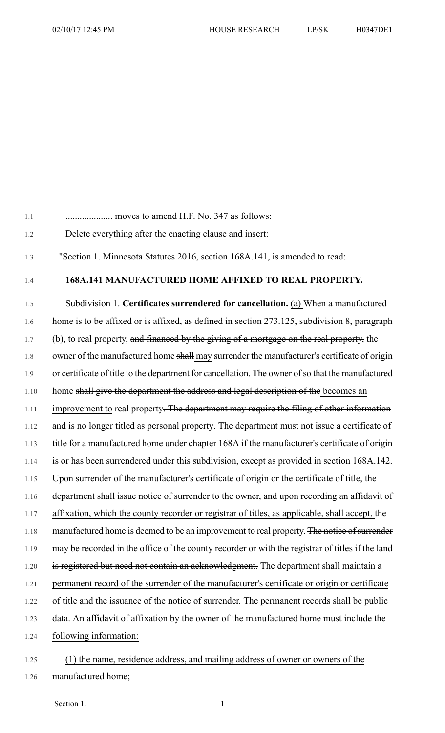1.1 .................... moves to amend H.F. No. 347 as follows:

- 1.2 Delete everything after the enacting clause and insert:
- 1.3 "Section 1. Minnesota Statutes 2016, section 168A.141, is amended to read:

## 1.4 **168A.141 MANUFACTURED HOME AFFIXED TO REAL PROPERTY.**

1.5 Subdivision 1. **Certificates surrendered for cancellation.** (a) When a manufactured 1.6 home is to be affixed or is affixed, as defined in section 273.125, subdivision 8, paragraph 1.7 (b), to real property, and financed by the giving of a mortgage on the real property, the 1.8 owner of the manufactured home shall may surrender the manufacturer's certificate of origin 1.9 or certificate of title to the department for cancellation. The owner of so that the manufactured 1.10 home shall give the department the address and legal description of the becomes an 1.11 improvement to real property. The department may require the filing of other information 1.12 and is no longer titled as personal property. The department must not issue a certificate of 1.13 title for a manufactured home under chapter 168A if the manufacturer's certificate of origin 1.14 is or has been surrendered under this subdivision, except as provided in section 168A.142. 1.15 Upon surrender of the manufacturer's certificate of origin or the certificate of title, the 1.16 department shall issue notice of surrender to the owner, and upon recording an affidavit of 1.17 affixation, which the county recorder or registrar of titles, as applicable, shall accept, the 1.18 manufactured home is deemed to be an improvement to real property. The notice of surrender 1.19 may be recorded in the office of the county recorder or with the registrar of titles if the land 1.20 is registered but need not contain an acknowledgment. The department shall maintain a 1.21 permanent record of the surrender of the manufacturer's certificate or origin or certificate 1.22 of title and the issuance of the notice of surrender. The permanent records shall be public 1.23 data. An affidavit of affixation by the owner of the manufactured home must include the 1.24 following information: 1.25 (1) the name, residence address, and mailing address of owner or owners of the

1.26 manufactured home;

Section 1.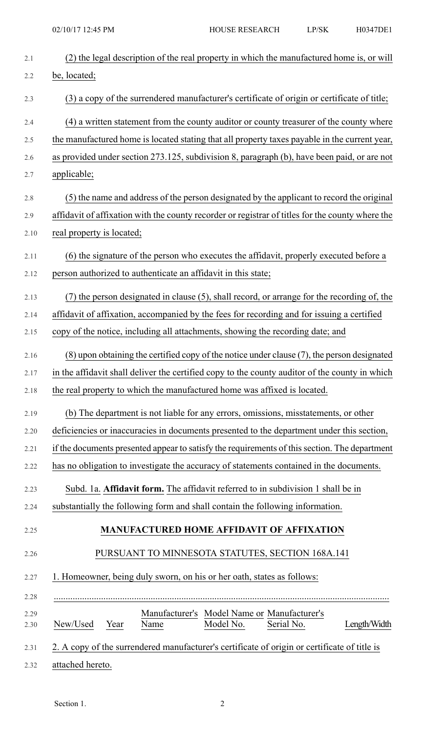| 2.1  | (2) the legal description of the real property in which the manufactured home is, or will        |
|------|--------------------------------------------------------------------------------------------------|
| 2.2  | be, located;                                                                                     |
| 2.3  | (3) a copy of the surrendered manufacturer's certificate of origin or certificate of title;      |
| 2.4  | (4) a written statement from the county auditor or county treasurer of the county where          |
| 2.5  | the manufactured home is located stating that all property taxes payable in the current year,    |
| 2.6  | as provided under section 273.125, subdivision 8, paragraph (b), have been paid, or are not      |
| 2.7  | applicable;                                                                                      |
| 2.8  | (5) the name and address of the person designated by the applicant to record the original        |
| 2.9  | affidavit of affixation with the county recorder or registrar of titles for the county where the |
| 2.10 | real property is located;                                                                        |
| 2.11 | (6) the signature of the person who executes the affidavit, properly executed before a           |
| 2.12 | person authorized to authenticate an affidavit in this state;                                    |
| 2.13 | (7) the person designated in clause (5), shall record, or arrange for the recording of, the      |
| 2.14 | affidavit of affixation, accompanied by the fees for recording and for issuing a certified       |
| 2.15 | copy of the notice, including all attachments, showing the recording date; and                   |
| 2.16 | (8) upon obtaining the certified copy of the notice under clause (7), the person designated      |
| 2.17 | in the affidavit shall deliver the certified copy to the county auditor of the county in which   |
| 2.18 | the real property to which the manufactured home was affixed is located.                         |
| 2.19 | (b) The department is not liable for any errors, omissions, misstatements, or other              |
| 2.20 | deficiencies or inaccuracies in documents presented to the department under this section,        |
| 2.21 | if the documents presented appear to satisfy the requirements of this section. The department    |
| 2.22 | has no obligation to investigate the accuracy of statements contained in the documents.          |
| 2.23 | Subd. 1a. Affidavit form. The affidavit referred to in subdivision 1 shall be in                 |
| 2.24 | substantially the following form and shall contain the following information.                    |
| 2.25 | <b>MANUFACTURED HOME AFFIDAVIT OF AFFIXATION</b>                                                 |
| 2.26 | PURSUANT TO MINNESOTA STATUTES, SECTION 168A.141                                                 |
| 2.27 | 1. Homeowner, being duly sworn, on his or her oath, states as follows:                           |
| 2.28 |                                                                                                  |
| 2.29 | Manufacturer's Model Name or Manufacturer's                                                      |
| 2.30 | Model No.<br>Serial No.<br>New/Used<br>Length/Width<br>Year<br>Name                              |
| 2.31 | 2. A copy of the surrendered manufacturer's certificate of origin or certificate of title is     |
| 2.32 | attached hereto.                                                                                 |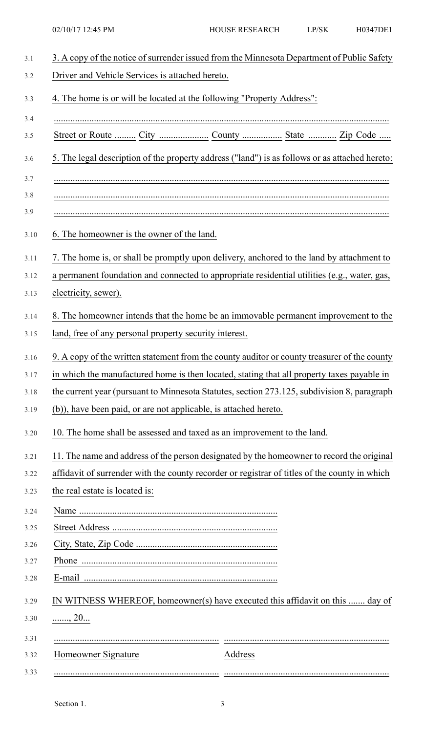| Driver and Vehicle Services is attached hereto.                                                |         |  |
|------------------------------------------------------------------------------------------------|---------|--|
| 4. The home is or will be located at the following "Property Address":                         |         |  |
|                                                                                                |         |  |
| 5. The legal description of the property address ("land") is as follows or as attached hereto: |         |  |
|                                                                                                |         |  |
|                                                                                                |         |  |
|                                                                                                |         |  |
| 6. The homeowner is the owner of the land.                                                     |         |  |
| 7. The home is, or shall be promptly upon delivery, anchored to the land by attachment to      |         |  |
| a permanent foundation and connected to appropriate residential utilities (e.g., water, gas,   |         |  |
| electricity, sewer).                                                                           |         |  |
| 8. The homeowner intends that the home be an immovable permanent improvement to the            |         |  |
| land, free of any personal property security interest.                                         |         |  |
| 9. A copy of the written statement from the county auditor or county treasurer of the county   |         |  |
| in which the manufactured home is then located, stating that all property taxes payable in     |         |  |
| the current year (pursuant to Minnesota Statutes, section 273.125, subdivision 8, paragraph    |         |  |
| (b)), have been paid, or are not applicable, is attached hereto.                               |         |  |
| 10. The home shall be assessed and taxed as an improvement to the land.                        |         |  |
| 11. The name and address of the person designated by the homeowner to record the original      |         |  |
| affidavit of surrender with the county recorder or registrar of titles of the county in which  |         |  |
| the real estate is located is:                                                                 |         |  |
|                                                                                                |         |  |
|                                                                                                |         |  |
|                                                                                                |         |  |
|                                                                                                |         |  |
|                                                                                                |         |  |
| IN WITNESS WHEREOF, homeowner(s) have executed this affidavit on this  day of                  |         |  |
| $\ldots \ldots$ , 20 $\ldots$                                                                  |         |  |
|                                                                                                |         |  |
| Homeowner Signature                                                                            | Address |  |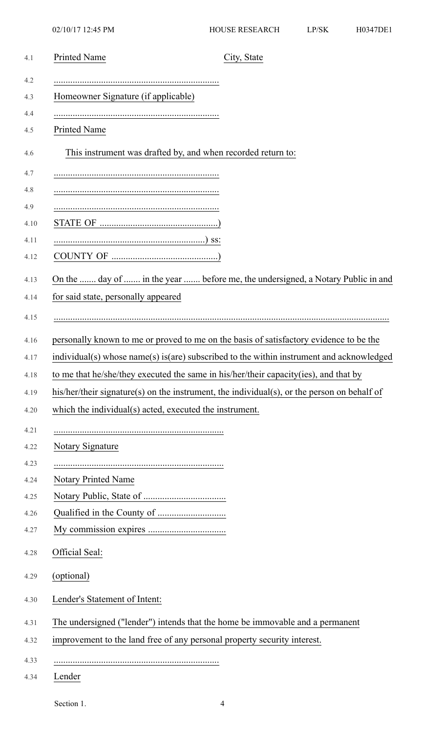| 4.1  | <b>Printed Name</b><br>City, State                                                          |
|------|---------------------------------------------------------------------------------------------|
| 4.2  |                                                                                             |
| 4.3  | Homeowner Signature (if applicable)                                                         |
| 4.4  |                                                                                             |
| 4.5  | <b>Printed Name</b>                                                                         |
| 4.6  | This instrument was drafted by, and when recorded return to:                                |
| 4.7  |                                                                                             |
| 4.8  |                                                                                             |
| 4.9  |                                                                                             |
| 4.10 |                                                                                             |
| 4.11 |                                                                                             |
| 4.12 |                                                                                             |
| 4.13 | On the  day of  in the year  before me, the undersigned, a Notary Public in and             |
| 4.14 | for said state, personally appeared                                                         |
| 4.15 |                                                                                             |
| 4.16 | personally known to me or proved to me on the basis of satisfactory evidence to be the      |
| 4.17 | individual(s) whose name(s) is(are) subscribed to the within instrument and acknowledged    |
| 4.18 | to me that he/she/they executed the same in his/her/their capacity(ies), and that by        |
| 4.19 | his/her/their signature(s) on the instrument, the individual(s), or the person on behalf of |
| 4.20 | which the individual(s) acted, executed the instrument.                                     |
| 4.21 |                                                                                             |
| 4.22 | <b>Notary Signature</b>                                                                     |
| 4.23 |                                                                                             |
| 4.24 | <b>Notary Printed Name</b>                                                                  |
| 4.25 |                                                                                             |
| 4.26 |                                                                                             |
| 4.27 |                                                                                             |
| 4.28 | Official Seal:                                                                              |
| 4.29 | (optional)                                                                                  |
| 4.30 | Lender's Statement of Intent:                                                               |
| 4.31 | The undersigned ("lender") intends that the home be immovable and a permanent               |
| 4.32 | improvement to the land free of any personal property security interest.                    |
| 4.33 |                                                                                             |
| 4.34 | Lender                                                                                      |
|      |                                                                                             |

Section 1. 4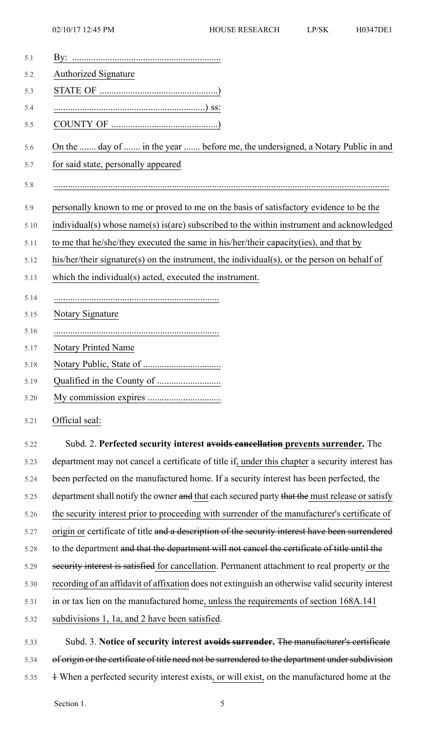| 5.1  |                                                                                                   |
|------|---------------------------------------------------------------------------------------------------|
| 5.2  | <b>Authorized Signature</b>                                                                       |
| 5.3  |                                                                                                   |
| 5.4  |                                                                                                   |
| 5.5  |                                                                                                   |
| 5.6  | On the  day of  in the year  before me, the undersigned, a Notary Public in and                   |
| 5.7  | for said state, personally appeared                                                               |
| 5.8  |                                                                                                   |
| 5.9  | personally known to me or proved to me on the basis of satisfactory evidence to be the            |
| 5.10 | individual(s) whose name(s) is(are) subscribed to the within instrument and acknowledged          |
| 5.11 | to me that he/she/they executed the same in his/her/their capacity(ies), and that by              |
| 5.12 | his/her/their signature(s) on the instrument, the individual(s), or the person on behalf of       |
| 5.13 | which the individual(s) acted, executed the instrument.                                           |
| 5.14 |                                                                                                   |
| 5.15 | Notary Signature                                                                                  |
| 5.16 |                                                                                                   |
| 5.17 | <b>Notary Printed Name</b>                                                                        |
| 5.18 |                                                                                                   |
| 5.19 |                                                                                                   |
| 5.20 |                                                                                                   |
| 5.21 | Official seal:                                                                                    |
| 5.22 | Subd. 2. Perfected security interest avoids cancellation prevents surrender. The                  |
| 5.23 | department may not cancel a certificate of title if, under this chapter a security interest has   |
| 5.24 | been perfected on the manufactured home. If a security interest has been perfected, the           |
| 5.25 | department shall notify the owner and that each secured party that the must release or satisfy    |
| 5.26 | the security interest prior to proceeding with surrender of the manufacturer's certificate of     |
| 5.27 | origin or certificate of title and a description of the security interest have been surrendered   |
| 5.28 | to the department and that the department will not cancel the certificate of title until the      |
| 5.29 | security interest is satisfied for cancellation. Permanent attachment to real property or the     |
| 5.30 | recording of an affidavit of affixation does not extinguish an otherwise valid security interest  |
| 5.31 | in or tax lien on the manufactured home, unless the requirements of section 168A.141              |
| 5.32 | subdivisions 1, 1a, and 2 have been satisfied.                                                    |
| 5.33 | Subd. 3. Notice of security interest avoids surrender. The manufacturer's certificate             |
| 5.34 | of origin or the certificate of title need not be surrendered to the department under subdivision |
| 5.35 | 4 When a perfected security interest exists, or will exist, on the manufactured home at the       |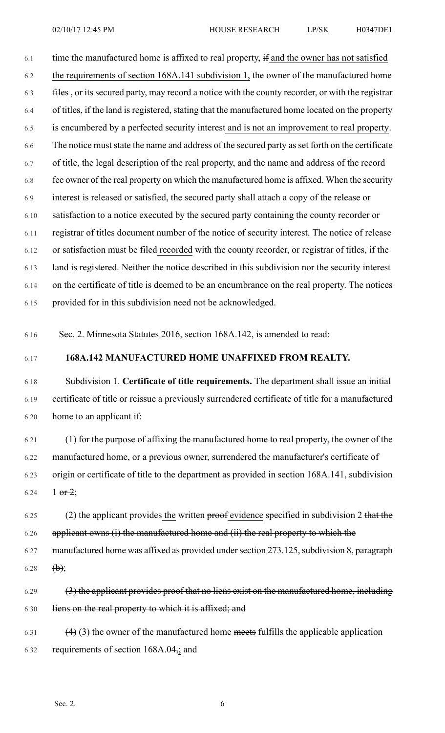6.1 time the manufactured home is affixed to real property, if and the owner has not satisfied 6.2 the requirements of section 168A.141 subdivision 1, the owner of the manufactured home 6.3 files , or its secured party, may record a notice with the county recorder, or with the registrar 6.4 of titles, if the land is registered, stating that the manufactured home located on the property 6.5 is encumbered by a perfected security interest and is not an improvement to real property. 6.6 The notice must state the name and address of the secured party as set forth on the certificate 6.7 of title, the legal description of the real property, and the name and address of the record 6.8 fee owner of the real property on which the manufactured home is affixed. When the security 6.9 interest is released or satisfied, the secured party shall attach a copy of the release or 6.10 satisfaction to a notice executed by the secured party containing the county recorder or 6.11 registrar of titles document number of the notice of security interest. The notice of release 6.12 or satisfaction must be filed recorded with the county recorder, or registrar of titles, if the 6.13 land is registered. Neither the notice described in this subdivision nor the security interest 6.14 on the certificate of title is deemed to be an encumbrance on the real property. The notices 6.15 provided for in this subdivision need not be acknowledged.

6.16 Sec. 2. Minnesota Statutes 2016, section 168A.142, is amended to read:

6.17 **168A.142 MANUFACTURED HOME UNAFFIXED FROM REALTY.**

6.18 Subdivision 1. **Certificate of title requirements.** The department shall issue an initial 6.19 certificate of title or reissue a previously surrendered certificate of title for a manufactured 6.20 home to an applicant if:

 $6.21$  (1) for the purpose of affixing the manufactured home to real property, the owner of the 6.22 manufactured home, or a previous owner, surrendered the manufacturer's certificate of 6.23 origin or certificate of title to the department as provided in section 168A.141, subdivision 6.24 1  $\theta$ r 2;

 $6.25$  (2) the applicant provides the written proof evidence specified in subdivision 2 that the 6.26 applicant owns (i) the manufactured home and (ii) the real property to which the

6.27 manufactured home was affixed as provided under section 273.125, subdivision 8, paragraph 6.28 **(b)**;

6.29 (3) the applicant provides proof that no liens exist on the manufactured home, including 6.30 liens on the real property to which it is affixed; and

 $(4)$  (3) the owner of the manufactured home meets fulfills the applicable application 6.32 requirements of section 168A.04,; and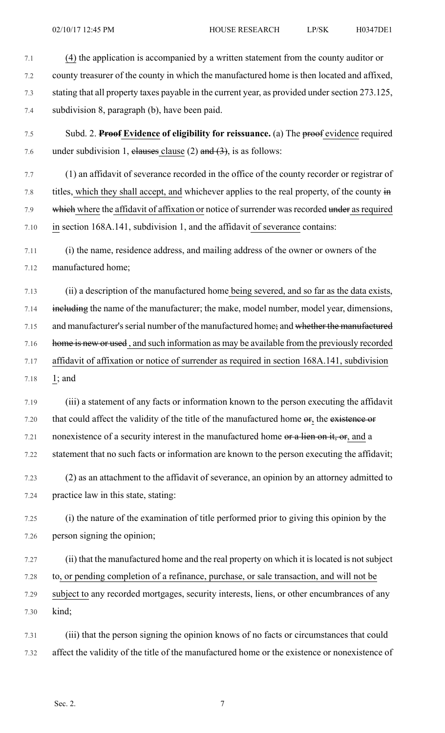- 7.1 (4) the application is accompanied by a written statement from the county auditor or 7.2 county treasurer of the county in which the manufactured home is then located and affixed, 7.3 stating that all property taxes payable in the current year, as provided under section 273.125, 7.4 subdivision 8, paragraph (b), have been paid.
- 7.5 Subd. 2. **Proof Evidence of eligibility for reissuance.** (a) The proof evidence required 7.6 under subdivision 1, elauses clause (2) and  $(3)$ , is as follows:
- 7.7 (1) an affidavit of severance recorded in the office of the county recorder or registrar of 7.8 titles, which they shall accept, and whichever applies to the real property, of the county in 7.9 which where the affidavit of affixation or notice of surrender was recorded under as required 7.10 in section 168A.141, subdivision 1, and the affidavit of severance contains:
- 7.11 (i) the name, residence address, and mailing address of the owner or owners of the 7.12 manufactured home;
- 7.13 (ii) a description of the manufactured home being severed, and so far as the data exists, 7.14 including the name of the manufacturer; the make, model number, model year, dimensions, 7.15 and manufacturer's serial number of the manufactured home; and whether the manufactured 7.16 home is new or used, and such information as may be available from the previously recorded 7.17 affidavit of affixation or notice of surrender as required in section 168A.141, subdivision 7.18 1; and
- 7.19 (iii) a statement of any facts or information known to the person executing the affidavit 7.20 that could affect the validity of the title of the manufactured home or, the existence or 7.21 nonexistence of a security interest in the manufactured home or a lien on it, or, and a 7.22 statement that no such facts or information are known to the person executing the affidavit;
- 7.23 (2) as an attachment to the affidavit of severance, an opinion by an attorney admitted to 7.24 practice law in this state, stating:
- 7.25 (i) the nature of the examination of title performed prior to giving this opinion by the 7.26 person signing the opinion;
- 7.27 (ii) that the manufactured home and the real property on which it islocated is notsubject 7.28 to, or pending completion of a refinance, purchase, or sale transaction, and will not be 7.29 subject to any recorded mortgages, security interests, liens, or other encumbrances of any 7.30 kind;
- 7.31 (iii) that the person signing the opinion knows of no facts or circumstances that could 7.32 affect the validity of the title of the manufactured home or the existence or nonexistence of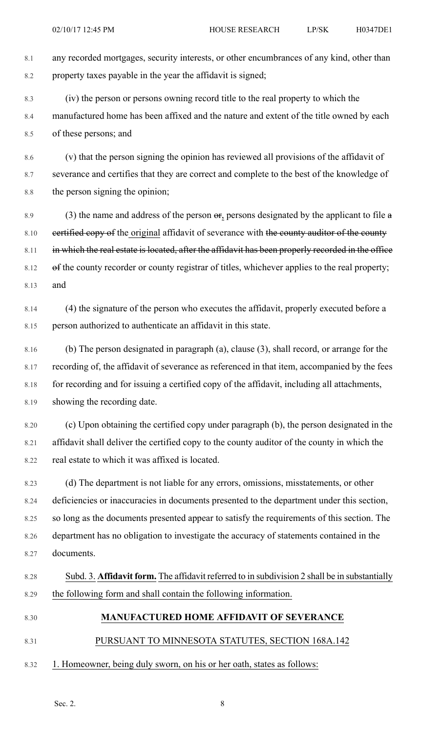8.1 any recorded mortgages, security interests, or other encumbrances of any kind, other than 8.2 property taxes payable in the year the affidavit is signed;

8.3 (iv) the person or persons owning record title to the real property to which the 8.4 manufactured home has been affixed and the nature and extent of the title owned by each 8.5 of these persons; and

8.6 (v) that the person signing the opinion has reviewed all provisions of the affidavit of 8.7 severance and certifies that they are correct and complete to the best of the knowledge of 8.8 the person signing the opinion;

8.9 (3) the name and address of the person  $\Theta$ , persons designated by the applicant to file  $\theta$ 8.10 eertified copy of the original affidavit of severance with the county auditor of the county 8.11 in which the real estate is located, after the affidavit has been properly recorded in the office 8.12 of the county recorder or county registrar of titles, whichever applies to the real property; 8.13 and

8.14 (4) the signature of the person who executes the affidavit, properly executed before a 8.15 person authorized to authenticate an affidavit in this state.

8.16 (b) The person designated in paragraph (a), clause (3), shall record, or arrange for the 8.17 recording of, the affidavit of severance as referenced in that item, accompanied by the fees 8.18 for recording and for issuing a certified copy of the affidavit, including all attachments, 8.19 showing the recording date.

8.20 (c) Upon obtaining the certified copy under paragraph (b), the person designated in the 8.21 affidavit shall deliver the certified copy to the county auditor of the county in which the 8.22 real estate to which it was affixed is located.

8.23 (d) The department is not liable for any errors, omissions, misstatements, or other 8.24 deficiencies or inaccuracies in documents presented to the department under this section, 8.25 so long as the documents presented appear to satisfy the requirements of this section. The 8.26 department has no obligation to investigate the accuracy of statements contained in the 8.27 documents.

## 8.28 Subd. 3. **Affidavit form.** The affidavit referred to in subdivision 2 shall be in substantially 8.29 the following form and shall contain the following information.

8.30 **MANUFACTURED HOME AFFIDAVIT OF SEVERANCE**

8.31 PURSUANT TO MINNESOTA STATUTES, SECTION 168A.142

8.32 1. Homeowner, being duly sworn, on his or her oath, states as follows: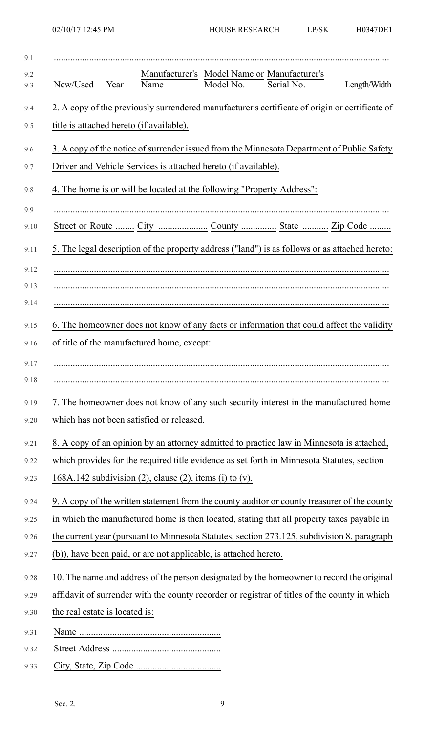| 9.1        |                                |      |                                                                        |           |                                                                                                |              |
|------------|--------------------------------|------|------------------------------------------------------------------------|-----------|------------------------------------------------------------------------------------------------|--------------|
| 9.2<br>9.3 | New/Used                       | Year | Name                                                                   | Model No. | Manufacturer's Model Name or Manufacturer's<br>Serial No.                                      | Length/Width |
| 9.4        |                                |      |                                                                        |           | 2. A copy of the previously surrendered manufacturer's certificate of origin or certificate of |              |
| 9.5        |                                |      | title is attached hereto (if available).                               |           |                                                                                                |              |
| 9.6        |                                |      |                                                                        |           | 3. A copy of the notice of surrender issued from the Minnesota Department of Public Safety     |              |
| 9.7        |                                |      | Driver and Vehicle Services is attached hereto (if available).         |           |                                                                                                |              |
| 9.8        |                                |      | 4. The home is or will be located at the following "Property Address": |           |                                                                                                |              |
| 9.9        |                                |      |                                                                        |           |                                                                                                |              |
| 9.10       |                                |      |                                                                        |           |                                                                                                |              |
| 9.11       |                                |      |                                                                        |           | 5. The legal description of the property address ("land") is as follows or as attached hereto: |              |
| 9.12       |                                |      |                                                                        |           |                                                                                                |              |
| 9.13       |                                |      |                                                                        |           |                                                                                                |              |
| 9.14       |                                |      |                                                                        |           |                                                                                                |              |
| 9.15       |                                |      |                                                                        |           | 6. The homeowner does not know of any facts or information that could affect the validity      |              |
| 9.16       |                                |      | of title of the manufactured home, except:                             |           |                                                                                                |              |
| 9.17       |                                |      |                                                                        |           |                                                                                                |              |
| 9.18       |                                |      |                                                                        |           |                                                                                                |              |
| 9.19       |                                |      |                                                                        |           | 7. The homeowner does not know of any such security interest in the manufactured home          |              |
| 9.20       |                                |      | which has not been satisfied or released.                              |           |                                                                                                |              |
| 9.21       |                                |      |                                                                        |           | 8. A copy of an opinion by an attorney admitted to practice law in Minnesota is attached,      |              |
| 9.22       |                                |      |                                                                        |           | which provides for the required title evidence as set forth in Minnesota Statutes, section     |              |
| 9.23       |                                |      | 168A.142 subdivision $(2)$ , clause $(2)$ , items $(i)$ to $(v)$ .     |           |                                                                                                |              |
| 9.24       |                                |      |                                                                        |           | 9. A copy of the written statement from the county auditor or county treasurer of the county   |              |
| 9.25       |                                |      |                                                                        |           | in which the manufactured home is then located, stating that all property taxes payable in     |              |
| 9.26       |                                |      |                                                                        |           | the current year (pursuant to Minnesota Statutes, section 273.125, subdivision 8, paragraph    |              |
| 9.27       |                                |      | (b)), have been paid, or are not applicable, is attached hereto.       |           |                                                                                                |              |
| 9.28       |                                |      |                                                                        |           | 10. The name and address of the person designated by the homeowner to record the original      |              |
| 9.29       |                                |      |                                                                        |           | affidavit of surrender with the county recorder or registrar of titles of the county in which  |              |
| 9.30       | the real estate is located is: |      |                                                                        |           |                                                                                                |              |
| 9.31       |                                |      |                                                                        |           |                                                                                                |              |
| 9.32       |                                |      |                                                                        |           |                                                                                                |              |
| 9.33       |                                |      |                                                                        |           |                                                                                                |              |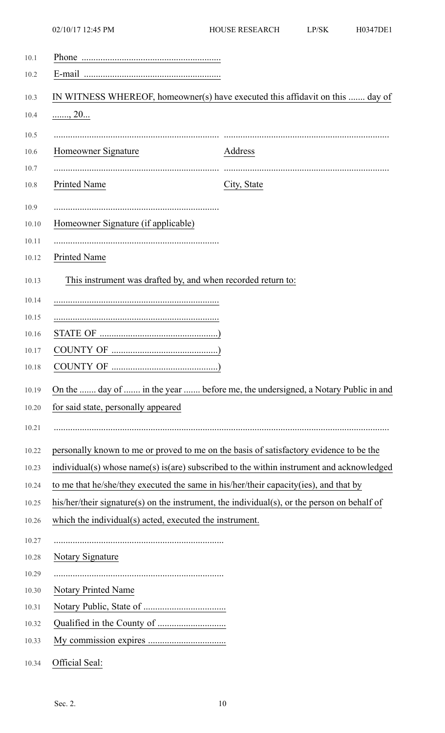| 10.1  |                                                                                             |                                                                                          |
|-------|---------------------------------------------------------------------------------------------|------------------------------------------------------------------------------------------|
| 10.2  |                                                                                             |                                                                                          |
| 10.3  |                                                                                             | IN WITNESS WHEREOF, homeowner(s) have executed this affidavit on this  day of            |
| 10.4  | $\frac{1}{2}$ 20                                                                            |                                                                                          |
| 10.5  |                                                                                             |                                                                                          |
| 10.6  | Homeowner Signature                                                                         | Address                                                                                  |
| 10.7  |                                                                                             |                                                                                          |
| 10.8  | Printed Name                                                                                | City, State                                                                              |
| 10.9  |                                                                                             |                                                                                          |
| 10.10 | Homeowner Signature (if applicable)                                                         |                                                                                          |
| 10.11 |                                                                                             |                                                                                          |
| 10.12 | Printed Name                                                                                |                                                                                          |
| 10.13 | This instrument was drafted by, and when recorded return to:                                |                                                                                          |
| 10.14 |                                                                                             |                                                                                          |
| 10.15 |                                                                                             |                                                                                          |
| 10.16 |                                                                                             |                                                                                          |
| 10.17 |                                                                                             |                                                                                          |
| 10.18 |                                                                                             |                                                                                          |
| 10.19 |                                                                                             | On the  day of  in the year  before me, the undersigned, a Notary Public in and          |
| 10.20 | for said state, personally appeared                                                         |                                                                                          |
| 10.21 |                                                                                             |                                                                                          |
|       |                                                                                             |                                                                                          |
| 10.22 | personally known to me or proved to me on the basis of satisfactory evidence to be the      |                                                                                          |
| 10.23 |                                                                                             | individual(s) whose name(s) is(are) subscribed to the within instrument and acknowledged |
| 10.24 | to me that he/she/they executed the same in his/her/their capacity(ies), and that by        |                                                                                          |
| 10.25 | his/her/their signature(s) on the instrument, the individual(s), or the person on behalf of |                                                                                          |
| 10.26 | which the individual(s) acted, executed the instrument.                                     |                                                                                          |
| 10.27 |                                                                                             |                                                                                          |
| 10.28 | Notary Signature                                                                            |                                                                                          |
| 10.29 |                                                                                             |                                                                                          |
| 10.30 | <b>Notary Printed Name</b>                                                                  |                                                                                          |
| 10.31 |                                                                                             |                                                                                          |
| 10.32 |                                                                                             |                                                                                          |
| 10.33 |                                                                                             |                                                                                          |
| 10.34 | Official Seal:                                                                              |                                                                                          |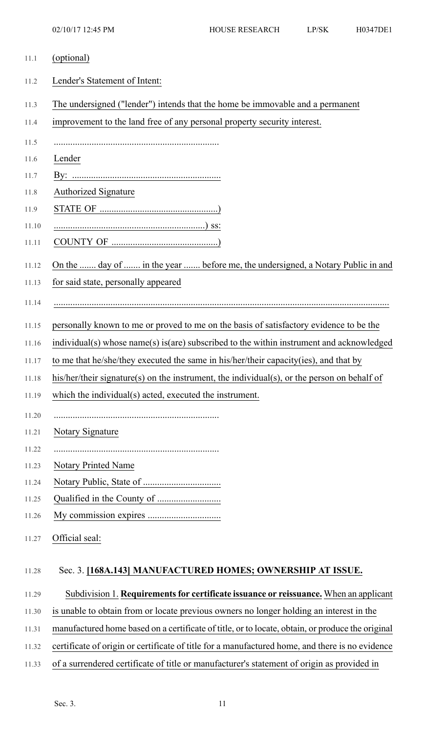- 11.1 (optional) 11.2 Lender's Statement of Intent:
	- 11.3 The undersigned ("lender") intends that the home be immovable and a permanent
	- 11.4 improvement to the land free of any personal property security interest.
	- 11.5 ......................................................................
	- 11.6 Lender
	- 11.7 By: ...............................................................
	- 11.8 **Authorized Signature**
	- 11.9 STATE OF ..................................................)
	- 11.10 ................................................................) ss:
	- 11.11 COUNTY OF .............................................)
	- 11.12 On the ....... day of ....... in the year ....... before me, the undersigned, a Notary Public in and

11.13 for said state, personally appeared

- 11.14 ..............................................................................................................................................
- 11.15 personally known to me or proved to me on the basis of satisfactory evidence to be the
- 11.16 individual(s) whose name(s) is(are) subscribed to the within instrument and acknowledged
- 11.17 to me that he/she/they executed the same in his/her/their capacity(ies), and that by
- 11.18 his/her/their signature(s) on the instrument, the individual(s), or the person on behalf of
- 11.19 which the individual(s) acted, executed the instrument.
- 11.20 ......................................................................
- 11.21 Notary Signature
- 11.22 ......................................................................
- 11.23 Notary Printed Name
- 11.24 Notary Public, State of .................................
- 11.25 Qualified in the County of ...........................
- 11.26 My commission expires ...............................
- 11.27 Official seal:

## 11.28 Sec. 3. **[168A.143] MANUFACTURED HOMES; OWNERSHIP AT ISSUE.**

- 11.29 Subdivision 1. **Requirementsfor certificate issuance or reissuance.** When an applicant
- 11.30 is unable to obtain from or locate previous owners no longer holding an interest in the
- 11.31 manufactured home based on a certificate of title, or to locate, obtain, or produce the original
- 11.32 certificate of origin or certificate of title for a manufactured home, and there is no evidence
- 11.33 of a surrendered certificate of title or manufacturer's statement of origin as provided in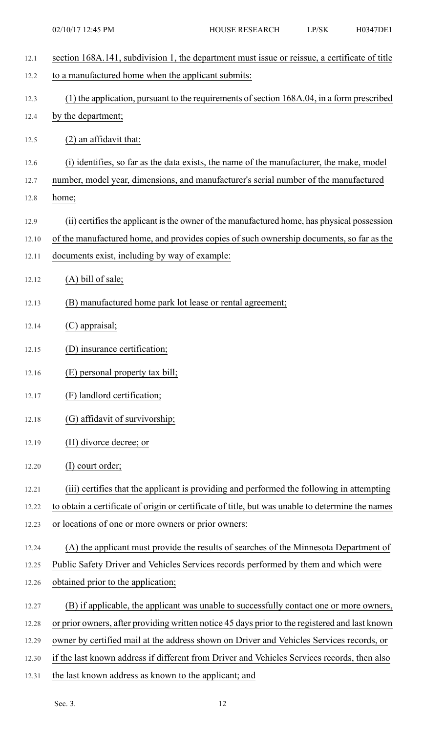| 12.1  | section 168A.141, subdivision 1, the department must issue or reissue, a certificate of title    |
|-------|--------------------------------------------------------------------------------------------------|
| 12.2  | to a manufactured home when the applicant submits:                                               |
| 12.3  | (1) the application, pursuant to the requirements of section 168A.04, in a form prescribed       |
| 12.4  | by the department;                                                                               |
| 12.5  | $(2)$ an affidavit that:                                                                         |
| 12.6  | (i) identifies, so far as the data exists, the name of the manufacturer, the make, model         |
| 12.7  | number, model year, dimensions, and manufacturer's serial number of the manufactured             |
| 12.8  | home;                                                                                            |
| 12.9  | (ii) certifies the applicant is the owner of the manufactured home, has physical possession      |
| 12.10 | of the manufactured home, and provides copies of such ownership documents, so far as the         |
| 12.11 | documents exist, including by way of example:                                                    |
| 12.12 | $(A)$ bill of sale;                                                                              |
| 12.13 | (B) manufactured home park lot lease or rental agreement;                                        |
| 12.14 | (C) appraisal;                                                                                   |
| 12.15 | (D) insurance certification;                                                                     |
| 12.16 | (E) personal property tax bill;                                                                  |
| 12.17 | (F) landlord certification;                                                                      |
| 12.18 | (G) affidavit of survivorship;                                                                   |
| 12.19 | (H) divorce decree; or                                                                           |
| 12.20 | (I) court order;                                                                                 |
| 12.21 | (iii) certifies that the applicant is providing and performed the following in attempting        |
| 12.22 | to obtain a certificate of origin or certificate of title, but was unable to determine the names |
| 12.23 | or locations of one or more owners or prior owners:                                              |
| 12.24 | (A) the applicant must provide the results of searches of the Minnesota Department of            |
| 12.25 | Public Safety Driver and Vehicles Services records performed by them and which were              |
| 12.26 | obtained prior to the application;                                                               |
| 12.27 | (B) if applicable, the applicant was unable to successfully contact one or more owners,          |
| 12.28 | or prior owners, after providing written notice 45 days prior to the registered and last known   |
| 12.29 | owner by certified mail at the address shown on Driver and Vehicles Services records, or         |
| 12.30 | if the last known address if different from Driver and Vehicles Services records, then also      |
| 12.31 | the last known address as known to the applicant; and                                            |